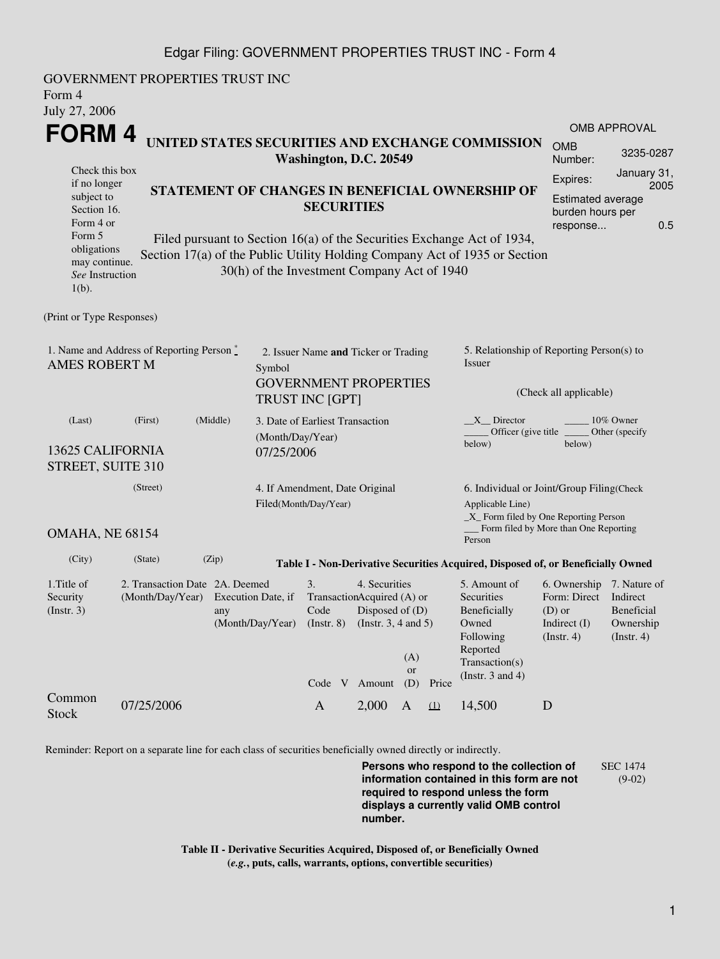## Edgar Filing: GOVERNMENT PROPERTIES TRUST INC - Form 4

| Form 4<br>July 27, 2006                                                                                                                                                                                                                                                       | GOVERNMENT PROPERTIES TRUST INC                                       |                                                                            |                                                                                                          |                                                              |                                                                                                           |                       |                                                                                                                         |                                                                                                    |                                       |  |  |
|-------------------------------------------------------------------------------------------------------------------------------------------------------------------------------------------------------------------------------------------------------------------------------|-----------------------------------------------------------------------|----------------------------------------------------------------------------|----------------------------------------------------------------------------------------------------------|--------------------------------------------------------------|-----------------------------------------------------------------------------------------------------------|-----------------------|-------------------------------------------------------------------------------------------------------------------------|----------------------------------------------------------------------------------------------------|---------------------------------------|--|--|
| FORM 4                                                                                                                                                                                                                                                                        |                                                                       |                                                                            |                                                                                                          |                                                              |                                                                                                           |                       |                                                                                                                         |                                                                                                    | <b>OMB APPROVAL</b>                   |  |  |
|                                                                                                                                                                                                                                                                               |                                                                       | UNITED STATES SECURITIES AND EXCHANGE COMMISSION<br>Washington, D.C. 20549 |                                                                                                          |                                                              |                                                                                                           | <b>OMB</b><br>Number: | 3235-0287                                                                                                               |                                                                                                    |                                       |  |  |
| Check this box<br>if no longer<br>subject to<br>Section 16.<br>Form 4 or                                                                                                                                                                                                      |                                                                       |                                                                            | STATEMENT OF CHANGES IN BENEFICIAL OWNERSHIP OF<br><b>SECURITIES</b>                                     |                                                              |                                                                                                           |                       |                                                                                                                         | January 31,<br>Expires:<br>2005<br>Estimated average<br>burden hours per<br>0.5<br>response        |                                       |  |  |
| Form 5<br>Filed pursuant to Section 16(a) of the Securities Exchange Act of 1934,<br>obligations<br>Section 17(a) of the Public Utility Holding Company Act of 1935 or Section<br>may continue.<br>30(h) of the Investment Company Act of 1940<br>See Instruction<br>$1(b)$ . |                                                                       |                                                                            |                                                                                                          |                                                              |                                                                                                           |                       |                                                                                                                         |                                                                                                    |                                       |  |  |
| (Print or Type Responses)                                                                                                                                                                                                                                                     |                                                                       |                                                                            |                                                                                                          |                                                              |                                                                                                           |                       |                                                                                                                         |                                                                                                    |                                       |  |  |
| 1. Name and Address of Reporting Person*<br><b>AMES ROBERT M</b>                                                                                                                                                                                                              |                                                                       |                                                                            | 2. Issuer Name and Ticker or Trading<br>Symbol<br><b>GOVERNMENT PROPERTIES</b><br><b>TRUST INC [GPT]</b> |                                                              |                                                                                                           |                       | 5. Relationship of Reporting Person(s) to<br><b>Issuer</b><br>(Check all applicable)                                    |                                                                                                    |                                       |  |  |
| (Last)<br>13625 CALIFORNIA<br>STREET, SUITE 310                                                                                                                                                                                                                               | 3. Date of Earliest Transaction<br>(Month/Day/Year)<br>07/25/2006     |                                                                            |                                                                                                          |                                                              | 10% Owner<br>X Director<br>Officer (give title<br>Other (specify<br>below)<br>below)                      |                       |                                                                                                                         |                                                                                                    |                                       |  |  |
|                                                                                                                                                                                                                                                                               | 4. If Amendment, Date Original<br>Filed(Month/Day/Year)               |                                                                            |                                                                                                          |                                                              | 6. Individual or Joint/Group Filing(Check<br>Applicable Line)<br>$\_X$ Form filed by One Reporting Person |                       |                                                                                                                         |                                                                                                    |                                       |  |  |
| OMAHA, NE 68154                                                                                                                                                                                                                                                               |                                                                       |                                                                            |                                                                                                          |                                                              |                                                                                                           |                       | _ Form filed by More than One Reporting<br>Person                                                                       |                                                                                                    |                                       |  |  |
| (City)                                                                                                                                                                                                                                                                        | (Zip)<br>(State)                                                      |                                                                            |                                                                                                          |                                                              |                                                                                                           |                       | Table I - Non-Derivative Securities Acquired, Disposed of, or Beneficially Owned                                        |                                                                                                    |                                       |  |  |
| 1. Title of<br>Security<br>(Insert. 3)                                                                                                                                                                                                                                        | 2. Transaction Date 2A. Deemed<br>(Month/Day/Year) Execution Date, if | any<br>(Month/Day/Year)                                                    | 3.<br>TransactionAcquired (A) or<br>Code<br>$($ Instr. $8)$                                              | 4. Securities<br>Disposed of (D)<br>(Instr. $3, 4$ and $5$ ) | (A)<br><b>or</b>                                                                                          |                       | 5. Amount of<br>Securities<br>Beneficially<br>Owned<br>Following<br>Reported<br>Transaction(s)<br>(Instr. $3$ and $4$ ) | 6. Ownership 7. Nature of<br>Form: Direct Indirect<br>$(D)$ or<br>Indirect (I)<br>$($ Instr. 4 $)$ | Beneficial<br>Ownership<br>(Instr. 4) |  |  |
| Common<br><b>Stock</b>                                                                                                                                                                                                                                                        | 07/25/2006                                                            |                                                                            | Code V<br>$\mathbf{A}$                                                                                   | Amount<br>2,000                                              | (D)<br>$\mathbf{A}$                                                                                       | Price<br>(1)          | 14,500                                                                                                                  | D                                                                                                  |                                       |  |  |

Reminder: Report on a separate line for each class of securities beneficially owned directly or indirectly.

**Persons who respond to the collection of information contained in this form are not required to respond unless the form displays a currently valid OMB control number.** SEC 1474 (9-02)

**Table II - Derivative Securities Acquired, Disposed of, or Beneficially Owned (***e.g.***, puts, calls, warrants, options, convertible securities)**